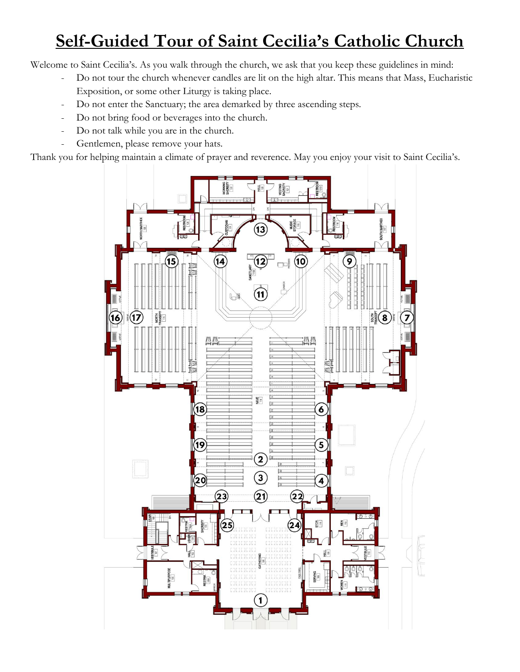# **Self-Guided Tour of Saint Cecilia's Catholic Church**

Welcome to Saint Cecilia's. As you walk through the church, we ask that you keep these guidelines in mind:

- Do not tour the church whenever candles are lit on the high altar. This means that Mass, Eucharistic Exposition, or some other Liturgy is taking place.
- Do not enter the Sanctuary; the area demarked by three ascending steps.
- Do not bring food or beverages into the church.
- Do not talk while you are in the church.
- Gentlemen, please remove your hats.

Thank you for helping maintain a climate of prayer and reverence. May you enjoy your visit to Saint Cecilia's.

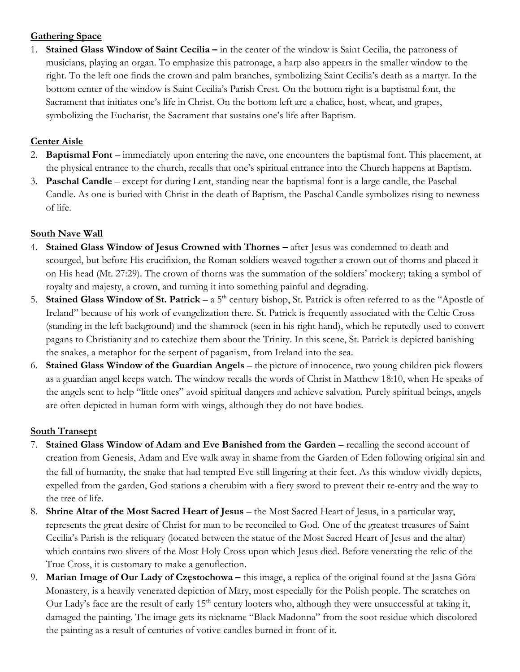## **Gathering Space**

1. **Stained Glass Window of Saint Cecilia –** in the center of the window is Saint Cecilia, the patroness of musicians, playing an organ. To emphasize this patronage, a harp also appears in the smaller window to the right. To the left one finds the crown and palm branches, symbolizing Saint Cecilia's death as a martyr. In the bottom center of the window is Saint Cecilia's Parish Crest. On the bottom right is a baptismal font, the Sacrament that initiates one's life in Christ. On the bottom left are a chalice, host, wheat, and grapes, symbolizing the Eucharist, the Sacrament that sustains one's life after Baptism.

## **Center Aisle**

- 2. **Baptismal Font** immediately upon entering the nave, one encounters the baptismal font. This placement, at the physical entrance to the church, recalls that one's spiritual entrance into the Church happens at Baptism.
- 3. **Paschal Candle**  except for during Lent, standing near the baptismal font is a large candle, the Paschal Candle. As one is buried with Christ in the death of Baptism, the Paschal Candle symbolizes rising to newness of life.

## **South Nave Wall**

- 4. **Stained Glass Window of Jesus Crowned with Thornes –** after Jesus was condemned to death and scourged, but before His crucifixion, the Roman soldiers weaved together a crown out of thorns and placed it on His head (Mt. 27:29). The crown of thorns was the summation of the soldiers' mockery; taking a symbol of royalty and majesty, a crown, and turning it into something painful and degrading.
- 5. **Stained Glass Window of St. Patrick** a 5<sup>th</sup> century bishop, St. Patrick is often referred to as the "Apostle of Ireland" because of his work of evangelization there. St. Patrick is frequently associated with the Celtic Cross (standing in the left background) and the shamrock (seen in his right hand), which he reputedly used to convert pagans to Christianity and to catechize them about the Trinity. In this scene, St. Patrick is depicted banishing the snakes, a metaphor for the serpent of paganism, from Ireland into the sea.
- 6. **Stained Glass Window of the Guardian Angels** the picture of innocence, two young children pick flowers as a guardian angel keeps watch. The window recalls the words of Christ in Matthew 18:10, when He speaks of the angels sent to help "little ones" avoid spiritual dangers and achieve salvation. Purely spiritual beings, angels are often depicted in human form with wings, although they do not have bodies.

## **South Transept**

- 7. **Stained Glass Window of Adam and Eve Banished from the Garden**  recalling the second account of creation from Genesis, Adam and Eve walk away in shame from the Garden of Eden following original sin and the fall of humanity, the snake that had tempted Eve still lingering at their feet. As this window vividly depicts, expelled from the garden, God stations a cherubim with a fiery sword to prevent their re-entry and the way to the tree of life.
- 8. **Shrine Altar of the Most Sacred Heart of Jesus** the Most Sacred Heart of Jesus, in a particular way, represents the great desire of Christ for man to be reconciled to God. One of the greatest treasures of Saint Cecilia's Parish is the reliquary (located between the statue of the Most Sacred Heart of Jesus and the altar) which contains two slivers of the Most Holy Cross upon which Jesus died. Before venerating the relic of the True Cross, it is customary to make a genuflection.
- 9. **Marian Image of Our Lady of Częstochowa –** this image, a replica of the original found at the Jasna Góra Monastery, is a heavily venerated depiction of Mary, most especially for the Polish people. The scratches on Our Lady's face are the result of early 15<sup>th</sup> century looters who, although they were unsuccessful at taking it, damaged the painting. The image gets its nickname "Black Madonna" from the soot residue which discolored the painting as a result of centuries of votive candles burned in front of it.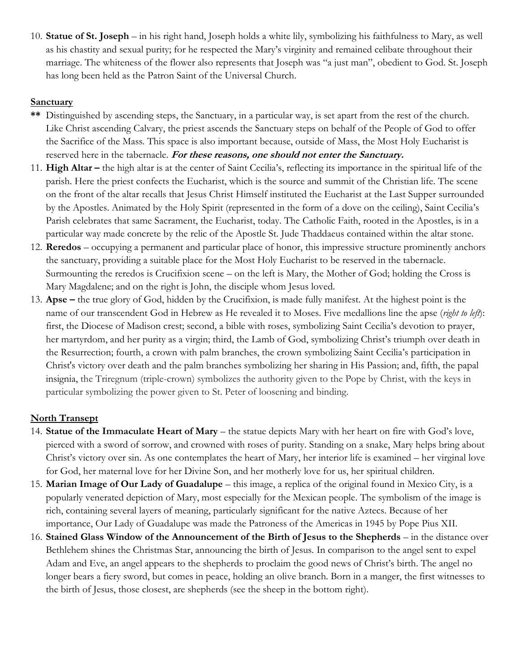10. **Statue of St. Joseph** – in his right hand, Joseph holds a white lily, symbolizing his faithfulness to Mary, as well as his chastity and sexual purity; for he respected the Mary's virginity and remained celibate throughout their marriage. The whiteness of the flower also represents that Joseph was "a just man", obedient to God. St. Joseph has long been held as the Patron Saint of the Universal Church.

#### **Sanctuary**

- **\*\*** Distinguished by ascending steps, the Sanctuary, in a particular way, is set apart from the rest of the church. Like Christ ascending Calvary, the priest ascends the Sanctuary steps on behalf of the People of God to offer the Sacrifice of the Mass. This space is also important because, outside of Mass, the Most Holy Eucharist is reserved here in the tabernacle. **For these reasons, one should not enter the Sanctuary.**
- 11. **High Altar –** the high altar is at the center of Saint Cecilia's, reflecting its importance in the spiritual life of the parish. Here the priest confects the Eucharist, which is the source and summit of the Christian life. The scene on the front of the altar recalls that Jesus Christ Himself instituted the Eucharist at the Last Supper surrounded by the Apostles. Animated by the Holy Spirit (represented in the form of a dove on the ceiling), Saint Cecilia's Parish celebrates that same Sacrament, the Eucharist, today. The Catholic Faith, rooted in the Apostles, is in a particular way made concrete by the relic of the Apostle St. Jude Thaddaeus contained within the altar stone.
- 12. **Reredos** occupying a permanent and particular place of honor, this impressive structure prominently anchors the sanctuary, providing a suitable place for the Most Holy Eucharist to be reserved in the tabernacle. Surmounting the reredos is Crucifixion scene – on the left is Mary, the Mother of God; holding the Cross is Mary Magdalene; and on the right is John, the disciple whom Jesus loved.
- 13. **Apse –** the true glory of God, hidden by the Crucifixion, is made fully manifest. At the highest point is the name of our transcendent God in Hebrew as He revealed it to Moses. Five medallions line the apse (*right to left*): first, the Diocese of Madison crest; second, a bible with roses, symbolizing Saint Cecilia's devotion to prayer, her martyrdom, and her purity as a virgin; third, the Lamb of God, symbolizing Christ's triumph over death in the Resurrection; fourth, a crown with palm branches, the crown symbolizing Saint Cecilia's participation in Christ's victory over death and the palm branches symbolizing her sharing in His Passion; and, fifth, the papal insignia, the Triregnum (triple-crown) symbolizes the authority given to the Pope by Christ, with the keys in particular symbolizing the power given to St. Peter of loosening and binding.

## **North Transept**

- 14. **Statue of the Immaculate Heart of Mary** the statue depicts Mary with her heart on fire with God's love, pierced with a sword of sorrow, and crowned with roses of purity. Standing on a snake, Mary helps bring about Christ's victory over sin. As one contemplates the heart of Mary, her interior life is examined – her virginal love for God, her maternal love for her Divine Son, and her motherly love for us, her spiritual children.
- 15. **Marian Image of Our Lady of Guadalupe** this image, a replica of the original found in Mexico City, is a popularly venerated depiction of Mary, most especially for the Mexican people. The symbolism of the image is rich, containing several layers of meaning, particularly significant for the native Aztecs. Because of her importance, Our Lady of Guadalupe was made the Patroness of the Americas in 1945 by Pope Pius XII.
- 16. **Stained Glass Window of the Announcement of the Birth of Jesus to the Shepherds** in the distance over Bethlehem shines the Christmas Star, announcing the birth of Jesus. In comparison to the angel sent to expel Adam and Eve, an angel appears to the shepherds to proclaim the good news of Christ's birth. The angel no longer bears a fiery sword, but comes in peace, holding an olive branch. Born in a manger, the first witnesses to the birth of Jesus, those closest, are shepherds (see the sheep in the bottom right).